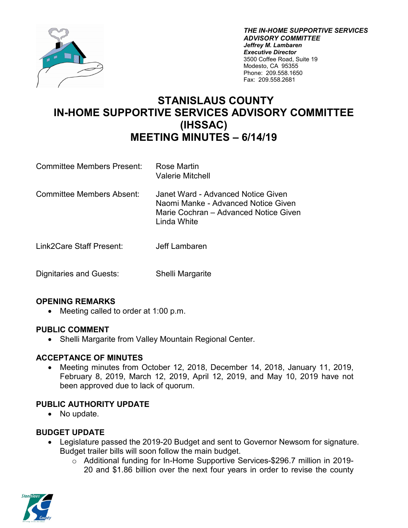

*THE IN-HOME SUPPORTIVE SERVICES ADVISORY COMMITTEE Jeffrey M. Lambaren Executive Director* 3500 Coffee Road, Suite 19 Modesto, CA 95355 Phone: 209.558.1650 Fax: 209.558.2681

# **STANISLAUS COUNTY IN-HOME SUPPORTIVE SERVICES ADVISORY COMMITTEE (IHSSAC) MEETING MINUTES – 6/14/19**

- Committee Members Present: Rose Martin Valerie Mitchell
- Committee Members Absent: Janet Ward Advanced Notice Given Naomi Manke - Advanced Notice Given Marie Cochran – Advanced Notice Given Linda White
- Link2Care Staff Present: Jeff Lambaren
- Dignitaries and Guests: Shelli Margarite

### **OPENING REMARKS**

• Meeting called to order at 1:00 p.m.

### **PUBLIC COMMENT**

• Shelli Margarite from Valley Mountain Regional Center.

### **ACCEPTANCE OF MINUTES**

• Meeting minutes from October 12, 2018, December 14, 2018, January 11, 2019, February 8, 2019, March 12, 2019, April 12, 2019, and May 10, 2019 have not been approved due to lack of quorum.

### **PUBLIC AUTHORITY UPDATE**

• No update.

### **BUDGET UPDATE**

- Legislature passed the 2019-20 Budget and sent to Governor Newsom for signature. Budget trailer bills will soon follow the main budget.
	- o Additional funding for In-Home Supportive Services-\$296.7 million in 2019- 20 and \$1.86 billion over the next four years in order to revise the county

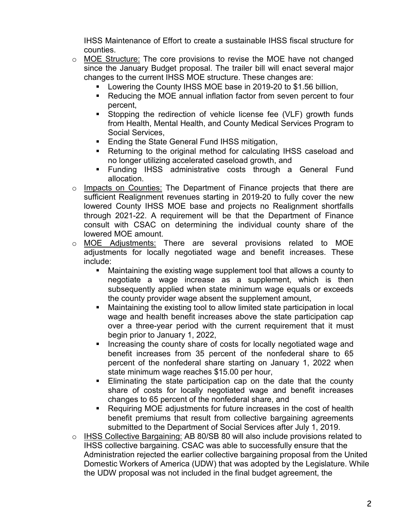IHSS Maintenance of Effort to create a sustainable IHSS fiscal structure for counties.

- $\circ$  MOE Structure: The core provisions to revise the MOE have not changed since the January Budget proposal. The trailer bill will enact several major changes to the current IHSS MOE structure. These changes are:
	- Lowering the County IHSS MOE base in 2019-20 to \$1.56 billion,
	- Reducing the MOE annual inflation factor from seven percent to four percent,
	- Stopping the redirection of vehicle license fee (VLF) growth funds from Health, Mental Health, and County Medical Services Program to Social Services,
	- **Ending the State General Fund IHSS mitigation,**
	- Returning to the original method for calculating IHSS caseload and no longer utilizing accelerated caseload growth, and
	- Funding IHSS administrative costs through a General Fund allocation.
- o Impacts on Counties: The Department of Finance projects that there are sufficient Realignment revenues starting in 2019-20 to fully cover the new lowered County IHSS MOE base and projects no Realignment shortfalls through 2021-22. A requirement will be that the Department of Finance consult with CSAC on determining the individual county share of the lowered MOE amount.
- o MOE Adjustments: There are several provisions related to MOE adjustments for locally negotiated wage and benefit increases. These include:
	- Maintaining the existing wage supplement tool that allows a county to negotiate a wage increase as a supplement, which is then subsequently applied when state minimum wage equals or exceeds the county provider wage absent the supplement amount,
	- Maintaining the existing tool to allow limited state participation in local wage and health benefit increases above the state participation cap over a three-year period with the current requirement that it must begin prior to January 1, 2022,
	- **If** Increasing the county share of costs for locally negotiated wage and benefit increases from 35 percent of the nonfederal share to 65 percent of the nonfederal share starting on January 1, 2022 when state minimum wage reaches \$15.00 per hour,
	- Eliminating the state participation cap on the date that the county share of costs for locally negotiated wage and benefit increases changes to 65 percent of the nonfederal share, and
	- Requiring MOE adjustments for future increases in the cost of health benefit premiums that result from collective bargaining agreements submitted to the Department of Social Services after July 1, 2019.
- o IHSS Collective Bargaining: AB 80/SB 80 will also include provisions related to IHSS collective bargaining. CSAC was able to successfully ensure that the Administration rejected the earlier collective bargaining proposal from the United Domestic Workers of America (UDW) that was adopted by the Legislature. While the UDW proposal was not included in the final budget agreement, the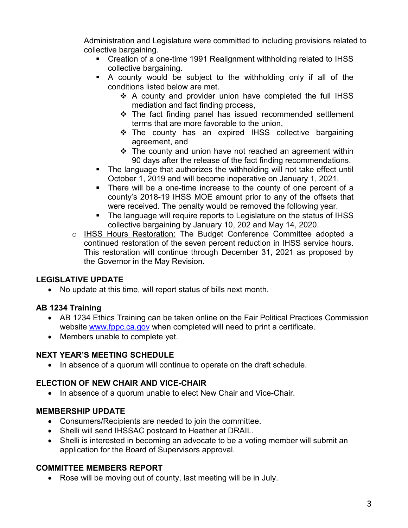Administration and Legislature were committed to including provisions related to collective bargaining.

- Creation of a one-time 1991 Realignment withholding related to IHSS collective bargaining.
- A county would be subject to the withholding only if all of the conditions listed below are met.
	- ❖ A county and provider union have completed the full IHSS mediation and fact finding process,
	- The fact finding panel has issued recommended settlement terms that are more favorable to the union,
	- \* The county has an expired IHSS collective bargaining agreement, and
	- The county and union have not reached an agreement within 90 days after the release of the fact finding recommendations.
- The language that authorizes the withholding will not take effect until October 1, 2019 and will become inoperative on January 1, 2021.
- There will be a one-time increase to the county of one percent of a county's 2018-19 IHSS MOE amount prior to any of the offsets that were received. The penalty would be removed the following year.
- The language will require reports to Legislature on the status of IHSS collective bargaining by January 10, 202 and May 14, 2020.
- o IHSS Hours Restoration: The Budget Conference Committee adopted a continued restoration of the seven percent reduction in IHSS service hours. This restoration will continue through December 31, 2021 as proposed by the Governor in the May Revision.

# **LEGISLATIVE UPDATE**

• No update at this time, will report status of bills next month.

# **AB 1234 Training**

- AB 1234 Ethics Training can be taken online on the Fair Political Practices Commission website [www.fppc.ca.gov](http://www.fppc.ca.gov/) when completed will need to print a certificate.
- Members unable to complete yet.

# **NEXT YEAR'S MEETING SCHEDULE**

• In absence of a quorum will continue to operate on the draft schedule.

# **ELECTION OF NEW CHAIR AND VICE-CHAIR**

• In absence of a quorum unable to elect New Chair and Vice-Chair.

# **MEMBERSHIP UPDATE**

- Consumers/Recipients are needed to join the committee.
- Shelli will send IHSSAC postcard to Heather at DRAIL.
- Shelli is interested in becoming an advocate to be a voting member will submit an application for the Board of Supervisors approval.

# **COMMITTEE MEMBERS REPORT**

• Rose will be moving out of county, last meeting will be in July.